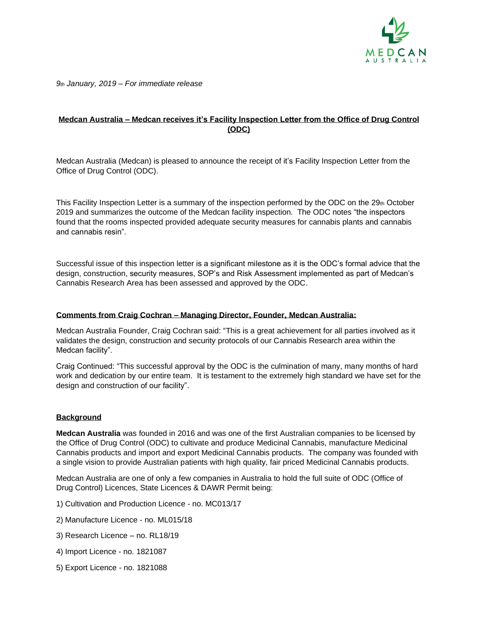

*9th January, 2019 – For immediate release* 

## **Medcan Australia – Medcan receives it's Facility Inspection Letter from the Office of Drug Control (ODC)**

Medcan Australia (Medcan) is pleased to announce the receipt of it's Facility Inspection Letter from the Office of Drug Control (ODC).

This Facility Inspection Letter is a summary of the inspection performed by the ODC on the  $29<sub>th</sub>$  October 2019 and summarizes the outcome of the Medcan facility inspection. The ODC notes "the inspectors found that the rooms inspected provided adequate security measures for cannabis plants and cannabis and cannabis resin".

Successful issue of this inspection letter is a significant milestone as it is the ODC's formal advice that the design, construction, security measures, SOP's and Risk Assessment implemented as part of Medcan's Cannabis Research Area has been assessed and approved by the ODC.

## **Comments from Craig Cochran – Managing Director, Founder, Medcan Australia:**

Medcan Australia Founder, Craig Cochran said: "This is a great achievement for all parties involved as it validates the design, construction and security protocols of our Cannabis Research area within the Medcan facility".

Craig Continued: "This successful approval by the ODC is the culmination of many, many months of hard work and dedication by our entire team. It is testament to the extremely high standard we have set for the design and construction of our facility".

## **Background**

**Medcan Australia** was founded in 2016 and was one of the first Australian companies to be licensed by the Office of Drug Control (ODC) to cultivate and produce Medicinal Cannabis, manufacture Medicinal Cannabis products and import and export Medicinal Cannabis products. The company was founded with a single vision to provide Australian patients with high quality, fair priced Medicinal Cannabis products.

Medcan Australia are one of only a few companies in Australia to hold the full suite of ODC (Office of Drug Control) Licences, State Licences & DAWR Permit being:

- 1) Cultivation and Production Licence no. MC013/17
- 2) Manufacture Licence no. ML015/18
- 3) Research Licence no. RL18/19
- 4) Import Licence no. 1821087
- 5) Export Licence no. 1821088